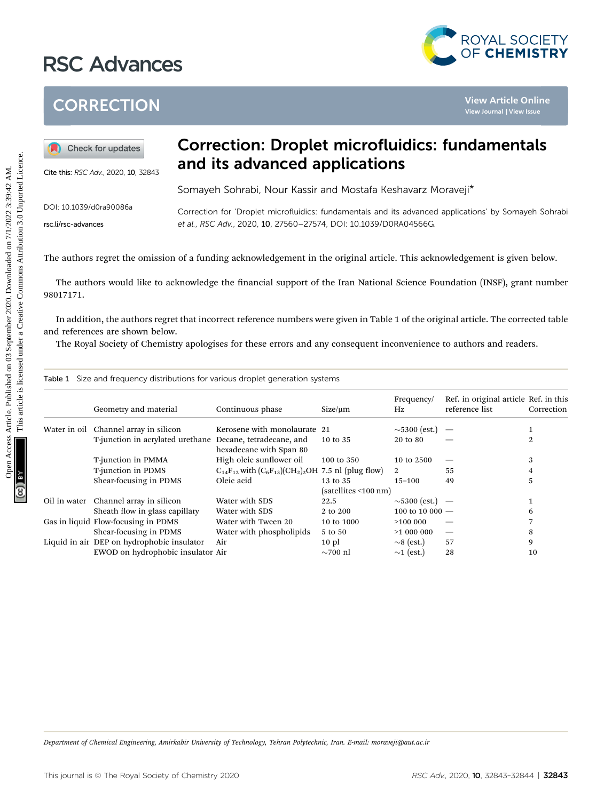## RSC Advances



## **CORRECTION**



## Correction: Droplet microfluidics: fundamentals and its advanced applications

|  | Table 1 Size and frequency distributions for various droplet generation systems |  |  |  |  |  |
|--|---------------------------------------------------------------------------------|--|--|--|--|--|
|--|---------------------------------------------------------------------------------|--|--|--|--|--|

| <b>CORRECTION</b>       |                                                                                 |                                                                                                                                                                                                                                                            |                          |                    |                                                         | View Article Online<br><b>View Journal   View Issue</b> |  |  |  |
|-------------------------|---------------------------------------------------------------------------------|------------------------------------------------------------------------------------------------------------------------------------------------------------------------------------------------------------------------------------------------------------|--------------------------|--------------------|---------------------------------------------------------|---------------------------------------------------------|--|--|--|
|                         | Check for updates<br>Cite this: RSC Adv., 2020, 10, 32843                       | <b>Correction: Droplet microfluidics: fundamentals</b><br>and its advanced applications                                                                                                                                                                    |                          |                    |                                                         |                                                         |  |  |  |
|                         |                                                                                 | Somayeh Sohrabi, Nour Kassir and Mostafa Keshavarz Moraveji*                                                                                                                                                                                               |                          |                    |                                                         |                                                         |  |  |  |
| DOI: 10.1039/d0ra90086a |                                                                                 |                                                                                                                                                                                                                                                            |                          |                    |                                                         |                                                         |  |  |  |
| rsc.li/rsc-advances     |                                                                                 | Correction for 'Droplet microfluidics: fundamentals and its advanced applications' by Somayeh Sohrabi<br>et al., RSC Adv., 2020, 10, 27560-27574, DOI: 10.1039/D0RA04566G.                                                                                 |                          |                    |                                                         |                                                         |  |  |  |
| 98017171.               |                                                                                 | The authors would like to acknowledge the financial support of the Iran National Science Foundation (INSF), grant number                                                                                                                                   |                          |                    |                                                         |                                                         |  |  |  |
|                         | and references are shown below.                                                 | In addition, the authors regret that incorrect reference numbers were given in Table 1 of the original article. The corrected table<br>The Royal Society of Chemistry apologises for these errors and any consequent inconvenience to authors and readers. |                          |                    |                                                         |                                                         |  |  |  |
|                         |                                                                                 | Table 1 Size and frequency distributions for various droplet generation systems                                                                                                                                                                            |                          |                    |                                                         |                                                         |  |  |  |
|                         | Geometry and material                                                           | Continuous phase                                                                                                                                                                                                                                           | $Size/\mu m$             | Frequency/<br>Hz   | Ref. in original article Ref. in this<br>reference list | Correction                                              |  |  |  |
|                         | Water in oil Channel array in silicon                                           | Kerosene with monolaurate 21                                                                                                                                                                                                                               |                          | $\sim$ 5300 (est.) |                                                         | $\mathbf{1}$                                            |  |  |  |
|                         |                                                                                 | T-junction in acrylated urethane Decane, tetradecane, and                                                                                                                                                                                                  | 10 to 35                 | 20 to 80           |                                                         | $\overline{2}$                                          |  |  |  |
|                         | T-junction in PMMA                                                              | hexadecane with Span 80<br>High oleic sunflower oil                                                                                                                                                                                                        | 100 to 350               | 10 to 2500         | $\qquad \qquad \longleftarrow$                          | 3                                                       |  |  |  |
|                         | T-junction in PDMS                                                              | $C_{14}F_{12}$ with $(C_6F_{13})$ $(CH_2)_2OH$ 7.5 nl (plug flow)                                                                                                                                                                                          |                          | 2                  | 55                                                      | 4                                                       |  |  |  |
|                         | Shear-focusing in PDMS                                                          | Oleic acid                                                                                                                                                                                                                                                 | 13 to 35                 | $15 - 100$         | 49                                                      | 5                                                       |  |  |  |
|                         |                                                                                 |                                                                                                                                                                                                                                                            | (satellites < 100 nm)    |                    |                                                         |                                                         |  |  |  |
|                         | Oil in water Channel array in silicon                                           | Water with SDS                                                                                                                                                                                                                                             | 22.5                     | $\sim$ 5300 (est.) | $\overline{\phantom{a}}$                                | 1                                                       |  |  |  |
|                         | Sheath flow in glass capillary                                                  | Water with SDS                                                                                                                                                                                                                                             | 2 to 200                 | 100 to 10 000 $-$  |                                                         | 6                                                       |  |  |  |
|                         | Gas in liquid Flow-focusing in PDMS                                             | Water with Tween 20                                                                                                                                                                                                                                        | 10 to 1000               | >100 000           |                                                         | $\overline{7}$                                          |  |  |  |
|                         | Shear-focusing in PDMS                                                          | Water with phospholipids                                                                                                                                                                                                                                   | 5 to 50                  | >1 000 000         | $\overline{\phantom{m}}$                                | 8                                                       |  |  |  |
|                         | Liquid in air DEP on hydrophobic insulator<br>EWOD on hydrophobic insulator Air | Air                                                                                                                                                                                                                                                        | $10$ pl<br>$\sim$ 700 nl | $\sim$ 8 (est.)    | 57                                                      | 9                                                       |  |  |  |

 $\Gamma$  Chemical Engineering, Amirkabir University of Technology, Tehran Polytechnic, Iran. E-mail: moraveji@aut.ac.ir